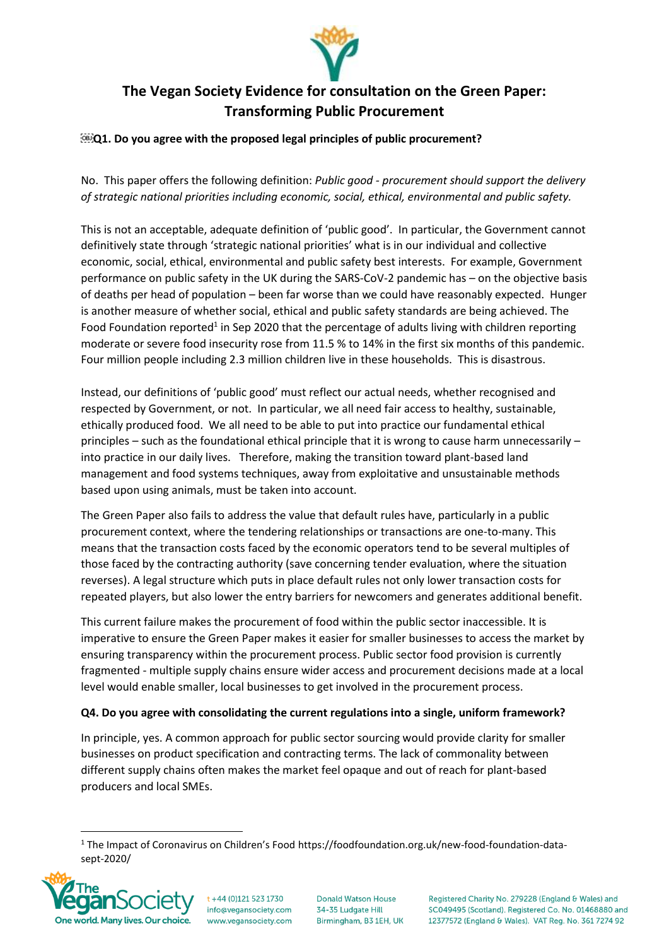

# **The Vegan Society Evidence for consultation on the Green Paper: Transforming Public Procurement**

#### **Q1. Do you agree with the proposed legal principles of public procurement?**

No. This paper offers the following definition: *Public good - procurement should support the delivery of strategic national priorities including economic, social, ethical, environmental and public safety.*

This is not an acceptable, adequate definition of 'public good'. In particular, the Government cannot definitively state through 'strategic national priorities' what is in our individual and collective economic, social, ethical, environmental and public safety best interests. For example, Government performance on public safety in the UK during the SARS-CoV-2 pandemic has – on the objective basis of deaths per head of population – been far worse than we could have reasonably expected. Hunger is another measure of whether social, ethical and public safety standards are being achieved. The Food Foundation reported<sup>1</sup> in Sep 2020 that the percentage of adults living with children reporting moderate or severe food insecurity rose from 11.5 % to 14% in the first six months of this pandemic. Four million people including 2.3 million children live in these households. This is disastrous.

Instead, our definitions of 'public good' must reflect our actual needs, whether recognised and respected by Government, or not. In particular, we all need fair access to healthy, sustainable, ethically produced food. We all need to be able to put into practice our fundamental ethical principles – such as the foundational ethical principle that it is wrong to cause harm unnecessarily – into practice in our daily lives. Therefore, making the transition toward plant-based land management and food systems techniques, away from exploitative and unsustainable methods based upon using animals, must be taken into account.

The Green Paper also fails to address the value that default rules have, particularly in a public procurement context, where the tendering relationships or transactions are one-to-many. This means that the transaction costs faced by the economic operators tend to be several multiples of those faced by the contracting authority (save concerning tender evaluation, where the situation reverses). A legal structure which puts in place default rules not only lower transaction costs for repeated players, but also lower the entry barriers for newcomers and generates additional benefit.

This current failure makes the procurement of food within the public sector inaccessible. It is imperative to ensure the Green Paper makes it easier for smaller businesses to access the market by ensuring transparency within the procurement process. Public sector food provision is currently fragmented - multiple supply chains ensure wider access and procurement decisions made at a local level would enable smaller, local businesses to get involved in the procurement process.

#### **Q4. Do you agree with consolidating the current regulations into a single, uniform framework?**

In principle, yes. A common approach for public sector sourcing would provide clarity for smaller businesses on product specification and contracting terms. The lack of commonality between different supply chains often makes the market feel opaque and out of reach for plant-based producers and local SMEs.

<sup>1</sup> The Impact of Coronavirus on Children's Food https://foodfoundation.org.uk/new-food-foundation-datasept-2020/



 $t + 44 (0)121 523 1730$ info@vegansociety.com www.vegansociety.com

**Donald Watson House** 34-35 Ludgate Hill Birmingham, B3 1EH, UK Registered Charity No. 279228 (England & Wales) and SC049495 (Scotland), Registered Co, No. 01468880 and 12377572 (England & Wales). VAT Reg. No. 361 7274 92